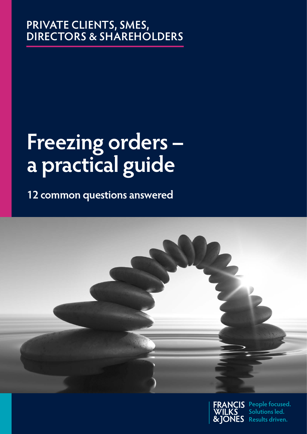# **PRIVATE CLIENTS, SMES, DIRECTORS & SHAREHOLDERS**

# **Freezing orders – a practical guide**

**12 common questions answered**





**People focused. Solutions led. CNES** Results driven.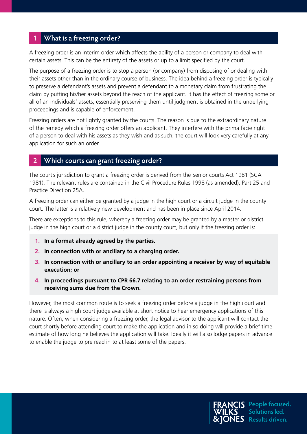#### **1 What is a freezing order?**

A freezing order is an interim order which affects the ability of a person or company to deal with certain assets. This can be the entirety of the assets or up to a limit specified by the court.

The purpose of a freezing order is to stop a person (or company) from disposing of or dealing with their assets other than in the ordinary course of business. The idea behind a freezing order is typically to preserve a defendant's assets and prevent a defendant to a monetary claim from frustrating the claim by putting his/her assets beyond the reach of the applicant. It has the effect of freezing some or all of an individuals' assets, essentially preserving them until judgment is obtained in the underlying proceedings and is capable of enforcement.

Freezing orders are not lightly granted by the courts. The reason is due to the extraordinary nature of the remedy which a freezing order offers an applicant. They interfere with the prima facie right of a person to deal with his assets as they wish and as such, the court will look very carefully at any application for such an order.

#### **2 Which courts can grant freezing order?**

The court's jurisdiction to grant a freezing order is derived from the Senior courts Act 1981 (SCA 1981). The relevant rules are contained in the Civil Procedure Rules 1998 (as amended), Part 25 and Practice Direction 25A.

A freezing order can either be granted by a judge in the high court or a circuit judge in the county court. The latter is a relatively new development and has been in place since April 2014.

There are exceptions to this rule, whereby a freezing order may be granted by a master or district judge in the high court or a district judge in the county court, but only if the freezing order is:

- **1. In a format already agreed by the parties.**
- **2. In connection with or ancillary to a charging order.**
- **3. In connection with or ancillary to an order appointing a receiver by way of equitable execution; or**
- **4. In proceedings pursuant to CPR 66.7 relating to an order restraining persons from receiving sums due from the Crown.**

However, the most common route is to seek a freezing order before a judge in the high court and there is always a high court judge available at short notice to hear emergency applications of this nature. Often, when considering a freezing order, the legal advisor to the applicant will contact the court shortly before attending court to make the application and in so doing will provide a brief time estimate of how long he believes the application will take. Ideally it will also lodge papers in advance to enable the judge to pre read in to at least some of the papers.

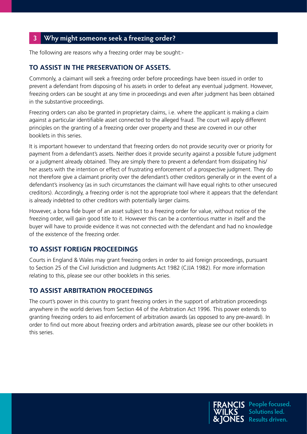# **3 Why might someone seek a freezing order?**

The following are reasons why a freezing order may be sought:-

#### **TO ASSIST IN THE PRESERVATION OF ASSETS.**

Commonly, a claimant will seek a freezing order before proceedings have been issued in order to prevent a defendant from disposing of his assets in order to defeat any eventual judgment. However, freezing orders can be sought at any time in proceedings and even after judgment has been obtained in the substantive proceedings.

Freezing orders can also be granted in proprietary claims, i.e. where the applicant is making a claim against a particular identifiable asset connected to the alleged fraud. The court will apply different principles on the granting of a freezing order over property and these are covered in our other booklets in this series.

It is important however to understand that freezing orders do not provide security over or priority for payment from a defendant's assets. Neither does it provide security against a possible future judgment or a judgment already obtained. They are simply there to prevent a defendant from dissipating his/ her assets with the intention or effect of frustrating enforcement of a prospective judgment. They do not therefore give a claimant priority over the defendant's other creditors generally or in the event of a defendant's insolvency (as in such circumstances the claimant will have equal rights to other unsecured creditors). Accordingly, a freezing order is not the appropriate tool where it appears that the defendant is already indebted to other creditors with potentially larger claims.

However, a bona fide buyer of an asset subject to a freezing order for value, without notice of the freezing order, will gain good title to it. However this can be a contentious matter in itself and the buyer will have to provide evidence it was not connected with the defendant and had no knowledge of the existence of the freezing order.

#### **TO ASSIST FOREIGN PROCEEDINGS**

Courts in England & Wales may grant freezing orders in order to aid foreign proceedings, pursuant to Section 25 of the Civil Jurisdiction and Judgments Act 1982 (CJJA 1982). For more information relating to this, please see our other booklets in this series.

#### **TO ASSIST ARBITRATION PROCEEDINGS**

The court's power in this country to grant freezing orders in the support of arbitration proceedings anywhere in the world derives from Section 44 of the Arbitration Act 1996. This power extends to granting freezing orders to aid enforcement of arbitration awards (as opposed to any pre-award). In order to find out more about freezing orders and arbitration awards, please see our other booklets in this series.

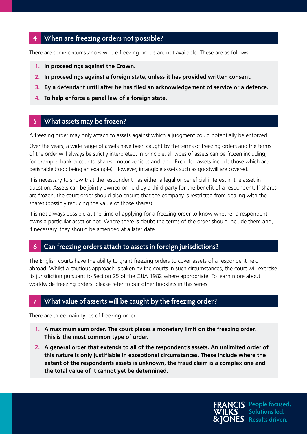#### **4 When are freezing orders not possible?**

There are some circumstances where freezing orders are not available. These are as follows:-

- **1. In proceedings against the Crown.**
- **2. In proceedings against a foreign state, unless it has provided written consent.**
- **3. By a defendant until after he has filed an acknowledgement of service or a defence.**
- **4. To help enforce a penal law of a foreign state.**

#### **5 What assets may be frozen?**

A freezing order may only attach to assets against which a judgment could potentially be enforced.

Over the years, a wide range of assets have been caught by the terms of freezing orders and the terms of the order will always be strictly interpreted. In principle, all types of assets can be frozen including, for example, bank accounts, shares, motor vehicles and land. Excluded assets include those which are perishable (food being an example). However, intangible assets such as goodwill are covered.

It is necessary to show that the respondent has either a legal or beneficial interest in the asset in question. Assets can be jointly owned or held by a third party for the benefit of a respondent. If shares are frozen, the court order should also ensure that the company is restricted from dealing with the shares (possibly reducing the value of those shares).

It is not always possible at the time of applying for a freezing order to know whether a respondent owns a particular asset or not. Where there is doubt the terms of the order should include them and, if necessary, they should be amended at a later date.

#### **6 Can freezing orders attach to assets in foreign jurisdictions?**

The English courts have the ability to grant freezing orders to cover assets of a respondent held abroad. Whilst a cautious approach is taken by the courts in such circumstances, the court will exercise its jurisdiction pursuant to Section 25 of the CJJA 1982 where appropriate. To learn more about worldwide freezing orders, please refer to our other booklets in this series.

## **7 What value of asserts will be caught by the freezing order?**

There are three main types of freezing order:-

- **1. A maximum sum order. The court places a monetary limit on the freezing order. This is the most common type of order.**
- **2. A general order that extends to all of the respondent's assets. An unlimited order of this nature is only justifiable in exceptional circumstances. These include where the extent of the respondents assets is unknown, the fraud claim is a complex one and the total value of it cannot yet be determined.**



**IS** People focused. **Solutions led. Results driven.**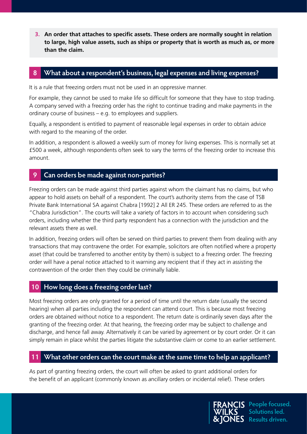**3. An order that attaches to specific assets. These orders are normally sought in relation to large, high value assets, such as ships or property that is worth as much as, or more than the claim.**

#### **8 What about a respondent's business, legal expenses and living expenses?**

It is a rule that freezing orders must not be used in an oppressive manner.

For example, they cannot be used to make life so difficult for someone that they have to stop trading. A company served with a freezing order has the right to continue trading and make payments in the ordinary course of business – e.g. to employees and suppliers.

Equally, a respondent is entitled to payment of reasonable legal expenses in order to obtain advice with regard to the meaning of the order.

In addition, a respondent is allowed a weekly sum of money for living expenses. This is normally set at £500 a week, although respondents often seek to vary the terms of the freezing order to increase this amount.

#### **9 Can orders be made against non-parties?**

Freezing orders can be made against third parties against whom the claimant has no claims, but who appear to hold assets on behalf of a respondent. The court's authority stems from the case of TSB Private Bank International SA against Chabra [1992] 2 All ER 245. These orders are referred to as the "Chabra Jurisdiction". The courts will take a variety of factors in to account when considering such orders, including whether the third party respondent has a connection with the jurisdiction and the relevant assets there as well.

In addition, freezing orders will often be served on third parties to prevent them from dealing with any transactions that may contravene the order. For example, solicitors are often notified where a property asset (that could be transferred to another entity by them) is subject to a freezing order. The freezing order will have a penal notice attached to it warning any recipient that if they act in assisting the contravention of the order then they could be criminally liable.

#### **10 How long does a freezing order last?**

Most freezing orders are only granted for a period of time until the return date (usually the second hearing) when all parties including the respondent can attend court. This is because most freezing orders are obtained without notice to a respondent. The return date is ordinarily seven days after the granting of the freezing order. At that hearing, the freezing order may be subject to challenge and discharge, and hence fall away. Alternatively it can be varied by agreement or by court order. Or it can simply remain in place whilst the parties litigate the substantive claim or come to an earlier settlement.

## **11 What other orders can the court make at the same time to help an applicant?**

As part of granting freezing orders, the court will often be asked to grant additional orders for the benefit of an applicant (commonly known as ancillary orders or incidental relief). These orders

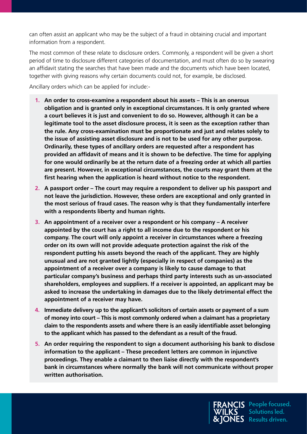can often assist an applicant who may be the subject of a fraud in obtaining crucial and important information from a respondent.

The most common of these relate to disclosure orders. Commonly, a respondent will be given a short period of time to disclosure different categories of documentation, and must often do so by swearing an affidavit stating the searches that have been made and the documents which have been located, together with giving reasons why certain documents could not, for example, be disclosed.

Ancillary orders which can be applied for include:-

- **1. An order to cross-examine a respondent about his assets This is an onerous obligation and is granted only in exceptional circumstances. It is only granted where a court believes it is just and convenient to do so. However, although it can be a legitimate tool to the asset disclosure process, it is seen as the exception rather than the rule. Any cross-examination must be proportionate and just and relates solely to the issue of assisting asset disclosure and is not to be used for any other purpose. Ordinarily, these types of ancillary orders are requested after a respondent has provided an affidavit of means and it is shown to be defective. The time for applying for one would ordinarily be at the return date of a freezing order at which all parties are present. However, in exceptional circumstances, the courts may grant them at the first hearing when the application is heard without notice to the respondent.**
- **2. A passport order The court may require a respondent to deliver up his passport and not leave the jurisdiction. However, these orders are exceptional and only granted in the most serious of fraud cases. The reason why is that they fundamentally interfere with a respondents liberty and human rights.**
- **3. An appointment of a receiver over a respondent or his company A receiver appointed by the court has a right to all income due to the respondent or his company. The court will only appoint a receiver in circumstances where a freezing order on its own will not provide adequate protection against the risk of the respondent putting his assets beyond the reach of the applicant. They are highly unusual and are not granted lightly (especially in respect of companies) as the appointment of a receiver over a company is likely to cause damage to that particular company's business and perhaps third party interests such as un-associated shareholders, employees and suppliers. If a receiver is appointed, an applicant may be asked to increase the undertaking in damages due to the likely detrimental effect the appointment of a receiver may have.**
- **4. Immediate delivery up to the applicant's solicitors of certain assets or payment of a sum of money into court – This is most commonly ordered when a claimant has a proprietary claim to the respondents assets and where there is an easily identifiable asset belonging to the applicant which has passed to the defendant as a result of the fraud.**
- **5. An order requiring the respondent to sign a document authorising his bank to disclose information to the applicant – These precedent letters are common in injunctive proceedings. They enable a claimant to then liaise directly with the respondent's bank in circumstances where normally the bank will not communicate without proper written authorisation.**



**IS** People focused. **Solutions led. Results driven.**